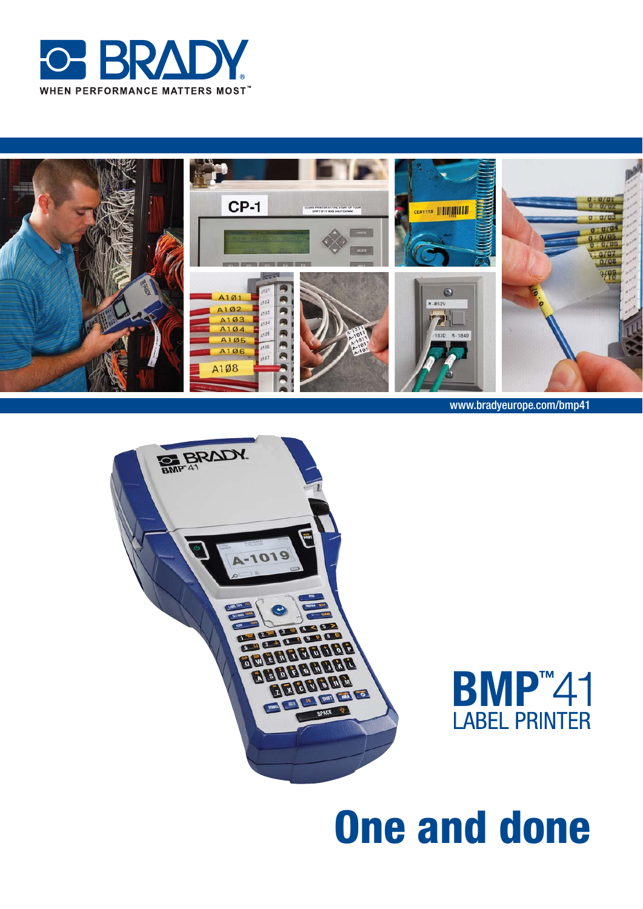



www.bradyeurope.com/bmp41





# **One and done**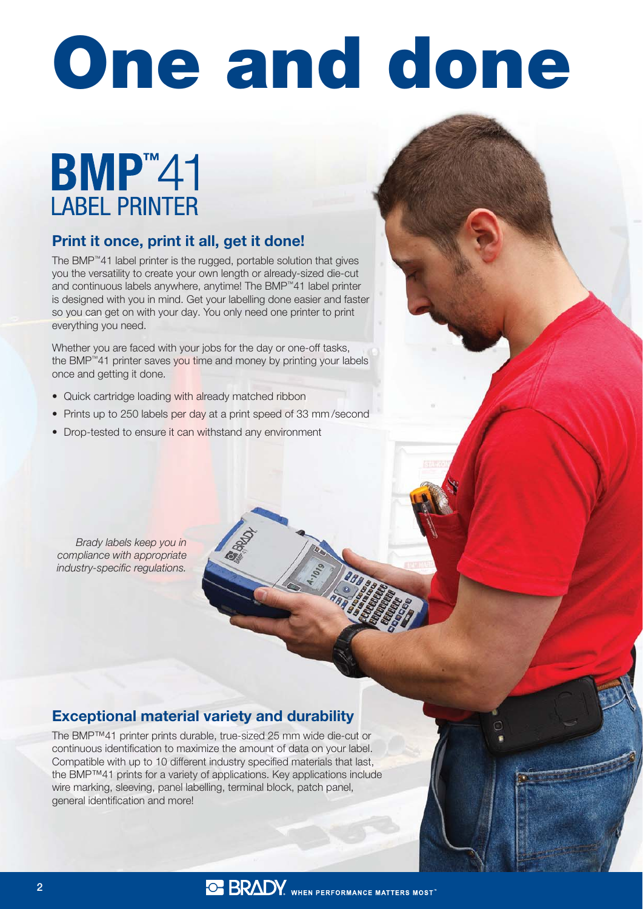# One and done

# **BMP**<sup>2</sup>41 **LABEL PRINTER**

#### Print it once, print it all, get it done!

The BMP™41 label printer is the rugged, portable solution that gives you the versatility to create your own length or already-sized die-cut and continuous labels anywhere, anytime! The BMP™41 label printer is designed with you in mind. Get your labelling done easier and faster so you can get on with your day. You only need one printer to print everything you need.

Whether you are faced with your jobs for the day or one-off tasks, the BMP™41 printer saves you time and money by printing your labels once and getting it done.

- Quick cartridge loading with already matched ribbon
- Prints up to 250 labels per day at a print speed of 33 mm/second
- Drop-tested to ensure it can withstand any environment

Brady labels keep you in compliance with appropriate industry-specific regulations.

#### Exceptional material variety and durability

The BMP™41 printer prints durable, true-sized 25 mm wide die-cut or continuous identification to maximize the amount of data on your label. Compatible with up to 10 different industry specified materials that last, the BMP™41 prints for a variety of applications. Key applications include wire marking, sleeving, panel labelling, terminal block, patch panel, general identification and more!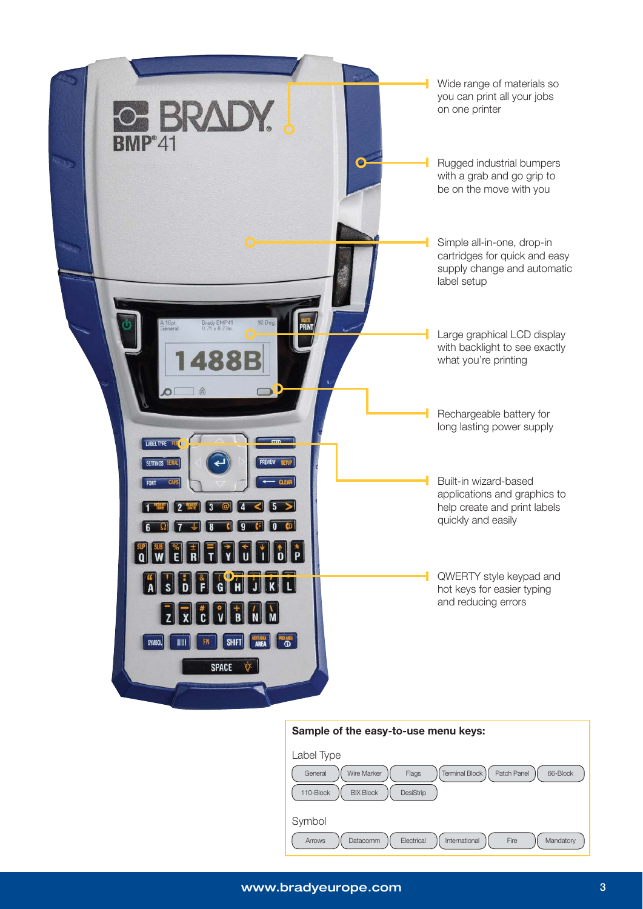

#### Sample of the easy-to-use menu keys:

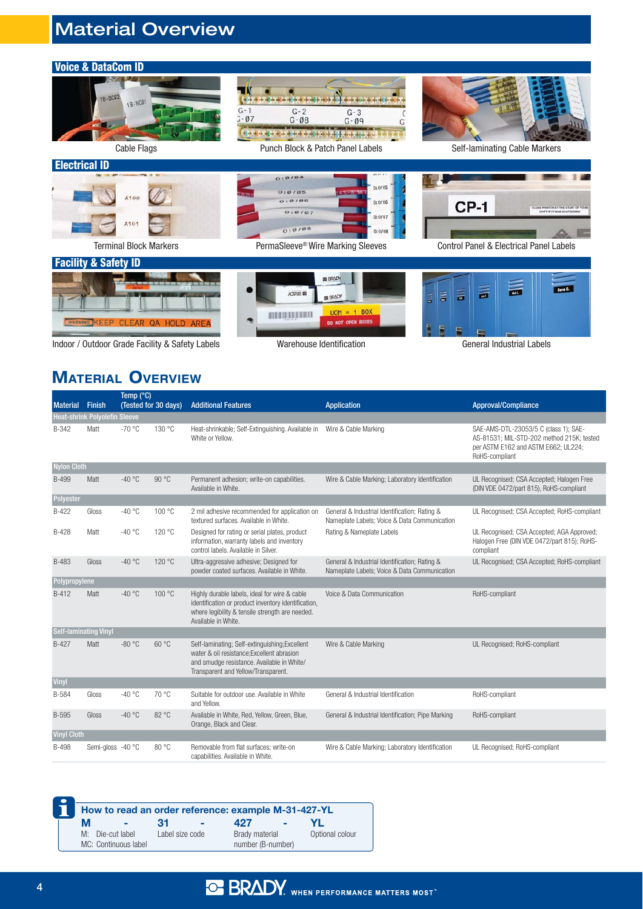# Material Overview

| <b>Voice &amp; DataCom ID</b>                   |                                                                                                                                                                                                      |                                                                               |
|-------------------------------------------------|------------------------------------------------------------------------------------------------------------------------------------------------------------------------------------------------------|-------------------------------------------------------------------------------|
| 18-BC02<br>18-BC01<br><b>Cable Flags</b>        | $G - 1$<br>$G - 2$<br>$G - 3$<br>$3 - 07$<br>$G - \emptyset 8$<br>$G - \emptyset 9$<br>of this is the set of the set of the set of the set of the set of the set<br>Punch Block & Patch Panel Labels | Self-laminating Cable Markers                                                 |
| <b>Electrical ID</b>                            |                                                                                                                                                                                                      |                                                                               |
| A100<br>A101                                    | 0:0:04<br>0:0/05<br>O:0/05<br>$43 - 8$<br>A <sub>B</sub><br>O: 0/06<br>0:0/06<br>$O:O$ / $O7$<br>0:0/07<br>0:0108<br>0:0/08                                                                          | <b>CP-1</b><br>CLEAN PRINTER AT THE START OF YOUR<br>HIFT IF IT WAS SHUT DOWN |
| <b>Terminal Block Markers</b>                   | PermaSleeve® Wire Marking Sleeves                                                                                                                                                                    | <b>Control Panel &amp; Electrical Panel Labels</b>                            |
| <b>Facility &amp; Safety ID</b>                 |                                                                                                                                                                                                      |                                                                               |
| WARNING KEEP<br><b>CLEAR</b><br>QA HOLD AREA    | <b>SE BRADY</b><br><b>ACTIVES</b><br>SE BRADY<br>$UOM = 1 BOX$<br><b>THE REAL PROPERTY</b><br><b>DO NOT OPEN BOXES</b>                                                                               | 言<br>旨<br>Dave S.<br>$\equiv$<br>E<br>$\vert$ $\vert$                         |
| Indoor / Outdoor Grade Facility & Safety Labels | Warehouse Identification                                                                                                                                                                             | <b>General Industrial Labels</b>                                              |

Indoor / Outdoor Grade Facility & Safety Labels

# **MATERIAL OVERVIEW**

| <b>Material</b>    | <b>Finish</b>                        | Temp (° <u>C)</u><br>(Tested for 30 days) |        | <b>Additional Features</b>                                                                                                                                                        | <b>Application</b>                                                                            | <b>Approval/Compliance</b>                                                                                                                  |
|--------------------|--------------------------------------|-------------------------------------------|--------|-----------------------------------------------------------------------------------------------------------------------------------------------------------------------------------|-----------------------------------------------------------------------------------------------|---------------------------------------------------------------------------------------------------------------------------------------------|
|                    | <b>Heat-shrink Polyolefin Sleeve</b> |                                           |        |                                                                                                                                                                                   |                                                                                               |                                                                                                                                             |
| B-342              | Matt                                 | $-70 °C$                                  | 130 °C | Heat-shrinkable; Self-Extinguishing. Available in<br>White or Yellow.                                                                                                             | Wire & Cable Marking                                                                          | SAE-AMS-DTL-23053/5 C (class 1); SAE-<br>AS-81531; MIL-STD-202 method 215K; tested<br>per ASTM E162 and ASTM E662; UL224;<br>RoHS-compliant |
| <b>Nylon Cloth</b> |                                      |                                           |        |                                                                                                                                                                                   |                                                                                               |                                                                                                                                             |
| <b>B-499</b>       | Matt                                 | $-40 °C$                                  | 90 °C  | Permanent adhesion; write-on capabilities.<br>Available in White.                                                                                                                 | Wire & Cable Marking; Laboratory Identification                                               | UL Recognised; CSA Accepted; Halogen Free<br>(DIN VDE 0472/part 815), RoHS-compliant                                                        |
| Polyester          |                                      |                                           |        |                                                                                                                                                                                   |                                                                                               |                                                                                                                                             |
| B-422              | Gloss                                | $-40 °C$                                  | 100 °C | 2 mil adhesive recommended for application on<br>textured surfaces. Available in White.                                                                                           | General & Industrial Identification; Rating &<br>Nameplate Labels; Voice & Data Communication | UL Recognised; CSA Accepted; RoHS-compliant                                                                                                 |
| $B-428$            | Matt                                 | $-40 °C$                                  | 120 °C | Designed for rating or serial plates, product<br>information, warranty labels and inventory<br>control labels. Available in Silver.                                               | Rating & Nameplate Labels                                                                     | UL Recognised; CSA Accepted; AGA Approved;<br>Halogen Free (DIN VDE 0472/part 815); RoHS-<br>compliant                                      |
| B-483              | Gloss                                | $-40 °C$                                  | 120 °C | Ultra-aggressive adhesive; Designed for<br>powder coated surfaces. Available in White.                                                                                            | General & Industrial Identification; Rating &<br>Nameplate Labels; Voice & Data Communication | UL Recognised; CSA Accepted; RoHS-compliant                                                                                                 |
| Polypropylene      |                                      |                                           |        |                                                                                                                                                                                   |                                                                                               |                                                                                                                                             |
| $B-412$            | Matt                                 | $-40 °C$                                  | 100 °C | Highly durable labels, ideal for wire & cable<br>identification or product inventory identification,<br>where legibility & tensile strength are needed.<br>Available in White.    | Voice & Data Communication                                                                    | RoHS-compliant                                                                                                                              |
|                    | <b>Self-laminating Vinyl</b>         |                                           |        |                                                                                                                                                                                   |                                                                                               |                                                                                                                                             |
| $B-427$            | Matt                                 | $-80$ °C                                  | 60 °C  | Self-laminating; Self-extinguishing; Excellent<br>water & oil resistance: Excellent abrasion<br>and smudge resistance. Available in White/<br>Transparent and Yellow/Transparent. | Wire & Cable Marking                                                                          | UL Recognised; RoHS-compliant                                                                                                               |
| <b>Vinyl</b>       |                                      |                                           |        |                                                                                                                                                                                   |                                                                                               |                                                                                                                                             |
| B-584              | Gloss                                | $-40 °C$                                  | 70 °C  | Suitable for outdoor use. Available in White<br>and Yellow.                                                                                                                       | General & Industrial Identification                                                           | RoHS-compliant                                                                                                                              |
| <b>B-595</b>       | Gloss                                | $-40 °C$                                  | 82 °C  | Available in White, Red, Yellow, Green, Blue,<br>Orange, Black and Clear.                                                                                                         | General & Industrial Identification; Pipe Marking                                             | RoHS-compliant                                                                                                                              |
| <b>Vinyl Cloth</b> |                                      |                                           |        |                                                                                                                                                                                   |                                                                                               |                                                                                                                                             |
| <b>B-498</b>       | Semi-gloss -40 °C                    |                                           | 80 °C  | Removable from flat surfaces; write-on<br>capabilities. Available in White.                                                                                                       | Wire & Cable Marking; Laboratory Identification                                               | UL Recognised; RoHS-compliant                                                                                                               |

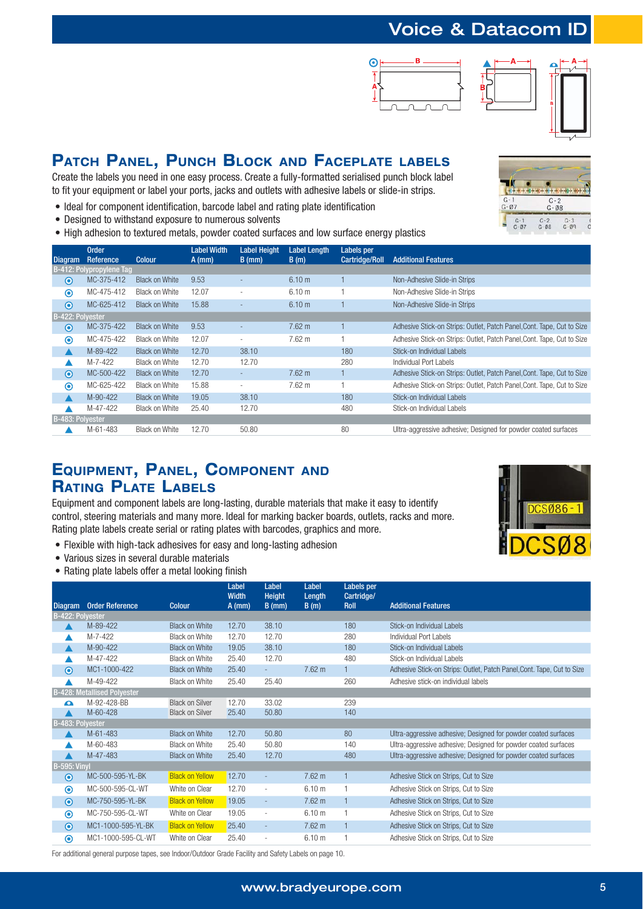# Voice & Datacom ID





### **PATCH PANEL, PUNCH BLOCK AND FACEPLATE LABELS**

Create the labels you need in one easy process. Create a fully-formatted serialised punch block label to fit your equipment or label your ports, jacks and outlets with adhesive labels or slide-in strips.

- Ideal for component identification, barcode label and rating plate identification
- Designed to withstand exposure to numerous solvents
- High adhesion to textured metals, powder coated surfaces and low surface energy plastics



| <b>Diagram</b>   | <b>Order</b><br>Reference | <b>Colour</b>         | <b>Label Width</b><br>$A$ (mm) | Label Height<br>$B$ (mm) | <b>Label Length</b><br>B(m) | Labels per<br>Cartridge/Roll | <b>Additional Features</b>                                             |
|------------------|---------------------------|-----------------------|--------------------------------|--------------------------|-----------------------------|------------------------------|------------------------------------------------------------------------|
|                  | B-412: Polypropylene Tag  |                       |                                |                          |                             |                              |                                                                        |
| $\odot$          | MC-375-412                | <b>Black on White</b> | 9.53                           |                          | 6.10 m                      |                              | Non-Adhesive Slide-in Strips                                           |
| $\circledcirc$   | MC-475-412                | <b>Black on White</b> | 12.07                          | $\overline{\phantom{a}}$ | 6.10 <sub>m</sub>           |                              | Non-Adhesive Slide-in Strips                                           |
| $\odot$          | MC-625-412                | <b>Black on White</b> | 15.88                          | $\overline{a}$           | 6.10 <sub>m</sub>           |                              | Non-Adhesive Slide-in Strips                                           |
| B-422: Polyester |                           |                       |                                |                          |                             |                              |                                                                        |
| $\odot$          | MC-375-422                | <b>Black on White</b> | 9.53                           |                          | 7.62 m                      |                              | Adhesive Stick-on Strips: Outlet, Patch Panel, Cont. Tape, Cut to Size |
| $\odot$          | MC-475-422                | Black on White        | 12.07                          | $\overline{\phantom{a}}$ | $7.62 \text{ m}$            |                              | Adhesive Stick-on Strips: Outlet, Patch Panel, Cont. Tape, Cut to Size |
|                  | M-89-422                  | <b>Black on White</b> | 12.70                          | 38.10                    |                             | 180                          | Stick-on Individual Labels                                             |
|                  | M-7-422                   | <b>Black on White</b> | 12.70                          | 12.70                    |                             | 280                          | Individual Port Labels                                                 |
| $\odot$          | MC-500-422                | <b>Black on White</b> | 12.70                          | ۰                        | 7.62 m                      |                              | Adhesive Stick-on Strips: Outlet, Patch Panel, Cont. Tape, Cut to Size |
| $\odot$          | MC-625-422                | Black on White        | 15.88                          | $\overline{\phantom{a}}$ | $7.62 \text{ m}$            |                              | Adhesive Stick-on Strips: Outlet, Patch Panel, Cont. Tape, Cut to Size |
|                  | M-90-422                  | <b>Black on White</b> | 19.05                          | 38.10                    |                             | 180                          | Stick-on Individual Labels                                             |
|                  | M-47-422                  | <b>Black on White</b> | 25.40                          | 12.70                    |                             | 480                          | Stick-on Individual Labels                                             |
| B-483: Polyester |                           |                       |                                |                          |                             |                              |                                                                        |
|                  | M-61-483                  | <b>Black on White</b> | 12.70                          | 50.80                    |                             | 80                           | Ultra-aggressive adhesive; Designed for powder coated surfaces         |

#### **EQUIPMENT, PANEL, COMPONENT AND RATING PLATE LABELS**

Equipment and component labels are long-lasting, durable materials that make it easy to identify control, steering materials and many more. Ideal for marking backer boards, outlets, racks and more. Rating plate labels create serial or rating plates with barcodes, graphics and more.

- Flexible with high-tack adhesives for easy and long-lasting adhesion
- Various sizes in several durable materials
- Rating plate labels offer a metal looking finish



|                     |                                    |                        | Label<br><b>Width</b> | Label<br><b>Height</b>   | Label<br>Length   | Labels per<br>Cartridge/ |                                                                        |
|---------------------|------------------------------------|------------------------|-----------------------|--------------------------|-------------------|--------------------------|------------------------------------------------------------------------|
| <b>Diagram</b>      | <b>Order Reference</b>             | Colour                 | $A$ (mm)              | $B$ (mm)                 | B(m)              | Roll                     | <b>Additional Features</b>                                             |
| B-422: Polyester    |                                    |                        |                       |                          |                   |                          |                                                                        |
|                     | M-89-422                           | <b>Black on White</b>  | 12.70                 | 38.10                    |                   | 180                      | Stick-on Individual Labels                                             |
|                     | M-7-422                            | <b>Black on White</b>  | 12.70                 | 12.70                    |                   | 280                      | Individual Port Labels                                                 |
| ▲                   | M-90-422                           | <b>Black on White</b>  | 19.05                 | 38.10                    |                   | 180                      | Stick-on Individual Labels                                             |
|                     | M-47-422                           | <b>Black on White</b>  | 25.40                 | 12.70                    |                   | 480                      | Stick-on Individual Labels                                             |
| $\odot$             | MC1-1000-422                       | <b>Black on White</b>  | 25.40                 | ÷.                       | 7.62 m            |                          | Adhesive Stick-on Strips: Outlet, Patch Panel, Cont. Tape, Cut to Size |
|                     | M-49-422                           | <b>Black on White</b>  | 25.40                 | 25.40                    |                   | 260                      | Adhesive stick-on individual labels                                    |
|                     | <b>B-428: Metallised Polyester</b> |                        |                       |                          |                   |                          |                                                                        |
| Δ                   | M-92-428-BB                        | <b>Black on Silver</b> | 12.70                 | 33.02                    |                   | 239                      |                                                                        |
|                     | M-60-428                           | <b>Black on Silver</b> | 25.40                 | 50.80                    |                   | 140                      |                                                                        |
| B-483: Polyester    |                                    |                        |                       |                          |                   |                          |                                                                        |
|                     | M-61-483                           | <b>Black on White</b>  | 12.70                 | 50.80                    |                   | 80                       | Ultra-aggressive adhesive; Designed for powder coated surfaces         |
|                     | M-60-483                           | <b>Black on White</b>  | 25.40                 | 50.80                    |                   | 140                      | Ultra-aggressive adhesive; Designed for powder coated surfaces         |
|                     | M-47-483                           | <b>Black on White</b>  | 25.40                 | 12.70                    |                   | 480                      | Ultra-aggressive adhesive; Designed for powder coated surfaces         |
| <b>B-595: Vinyl</b> |                                    |                        |                       |                          |                   |                          |                                                                        |
| $\odot$             | MC-500-595-YL-BK                   | <b>Black on Yellow</b> | 12.70                 | $\overline{\phantom{a}}$ | $7.62 \text{ m}$  |                          | Adhesive Stick on Strips, Cut to Size                                  |
| $\odot$             | MC-500-595-CL-WT                   | White on Clear         | 12.70                 | ٠                        | 6.10 <sub>m</sub> |                          | Adhesive Stick on Strips, Cut to Size                                  |
| $\bullet$           | MC-750-595-YL-BK                   | <b>Black on Yellow</b> | 19.05                 | ÷                        | 7.62 m            |                          | Adhesive Stick on Strips, Cut to Size                                  |
| $\odot$             | MC-750-595-CL-WT                   | White on Clear         | 19.05                 | $\overline{\phantom{a}}$ | 6.10 <sub>m</sub> | 1                        | Adhesive Stick on Strips, Cut to Size                                  |
| $\bullet$           | MC1-1000-595-YL-BK                 | <b>Black on Yellow</b> | 25.40                 |                          | 7.62 m            |                          | Adhesive Stick on Strips, Cut to Size                                  |
| $\odot$             | MC1-1000-595-CL-WT                 | White on Clear         | 25.40                 |                          | 6.10 <sub>m</sub> |                          | Adhesive Stick on Strips, Cut to Size                                  |

For additional general purpose tapes, see Indoor/Outdoor Grade Facility and Safety Labels on page 10.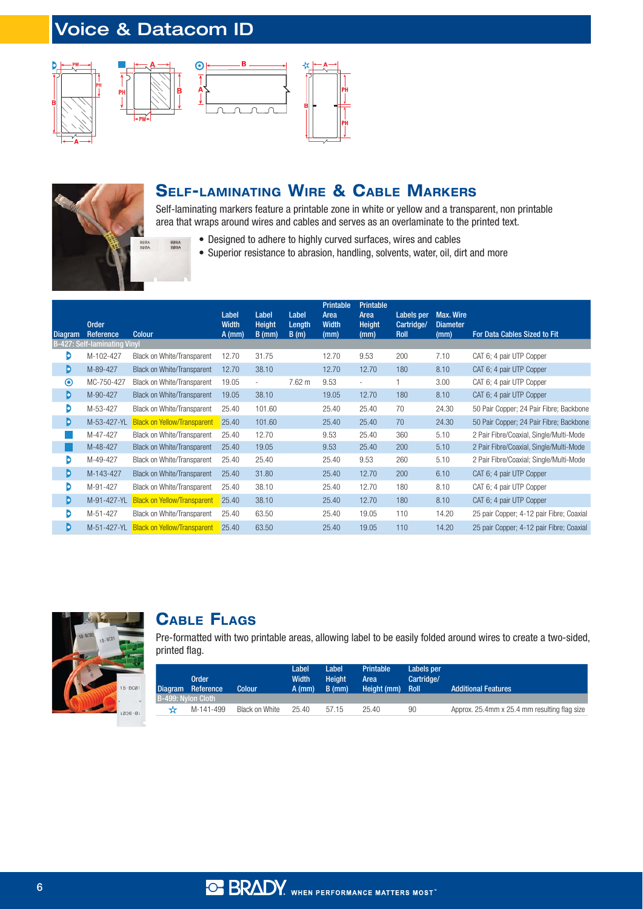# Voice & Datacom ID

 $\mathbf \epsilon$ 





**BØBA** 





#### **SELF-LAMINATING WIRE & CABLE MARKERS**

Self-laminating markers feature a printable zone in white or yellow and a transparent, non printable area that wraps around wires and cables and serves as an overlaminate to the printed text.

- Designed to adhere to highly curved surfaces, wires and cables
- Superior resistance to abrasion, handling, solvents, water, oil, dirt and more

| <b>Diagram</b> | <b>Order</b><br><b>Reference</b>    | <b>Colour</b>                      | Label<br><b>Width</b><br>$A$ (mm) | Label<br><b>Height</b><br>$B$ (mm) | Label<br>Length<br>B(m) | <b>Printable</b><br>Area<br><b>Width</b><br>(mm) | Printable<br>Area<br>Height<br>(mm) | Labels per<br>Cartridge/<br>Roll | <b>Max. Wire</b><br><b>Diameter</b><br>(mm) | <b>For Data Cables Sized to Fit</b>      |
|----------------|-------------------------------------|------------------------------------|-----------------------------------|------------------------------------|-------------------------|--------------------------------------------------|-------------------------------------|----------------------------------|---------------------------------------------|------------------------------------------|
|                | <b>B-427: Self-laminating Vinyl</b> |                                    |                                   |                                    |                         |                                                  |                                     |                                  |                                             |                                          |
| D              | M-102-427                           | Black on White/Transparent         | 12.70                             | 31.75                              |                         | 12.70                                            | 9.53                                | 200                              | 7.10                                        | CAT 6; 4 pair UTP Copper                 |
| D              | M-89-427                            | <b>Black on White/Transparent</b>  | 12.70                             | 38.10                              |                         | 12.70                                            | 12.70                               | 180                              | 8.10                                        | CAT 6; 4 pair UTP Copper                 |
| $\odot$        | MC-750-427                          | Black on White/Transparent         | 19.05                             | $\overline{a}$                     | $7.62 \text{ m}$        | 9.53                                             | $\sim$                              |                                  | 3.00                                        | CAT 6; 4 pair UTP Copper                 |
| D              | M-90-427                            | <b>Black on White/Transparent</b>  | 19.05                             | 38.10                              |                         | 19.05                                            | 12.70                               | 180                              | 8.10                                        | CAT 6; 4 pair UTP Copper                 |
| D              | M-53-427                            | Black on White/Transparent         | 25.40                             | 101.60                             |                         | 25.40                                            | 25.40                               | 70                               | 24.30                                       | 50 Pair Copper; 24 Pair Fibre; Backbone  |
| D              | M-53-427-YL                         | <b>Black on Yellow/Transparent</b> | 25.40                             | 101.60                             |                         | 25.40                                            | 25.40                               | 70                               | 24.30                                       | 50 Pair Copper; 24 Pair Fibre; Backbone  |
|                | M-47-427                            | Black on White/Transparent         | 25.40                             | 12.70                              |                         | 9.53                                             | 25.40                               | 360                              | 5.10                                        | 2 Pair Fibre/Coaxial, Single/Multi-Mode  |
|                | M-48-427                            | <b>Black on White/Transparent</b>  | 25.40                             | 19.05                              |                         | 9.53                                             | 25.40                               | 200                              | 5.10                                        | 2 Pair Fibre/Coaxial, Single/Multi-Mode  |
| D              | M-49-427                            | Black on White/Transparent         | 25.40                             | 25.40                              |                         | 25.40                                            | 9.53                                | 260                              | 5.10                                        | 2 Pair Fibre/Coaxial; Single/Multi-Mode  |
| D              | M-143-427                           | <b>Black on White/Transparent</b>  | 25.40                             | 31.80                              |                         | 25.40                                            | 12.70                               | 200                              | 6.10                                        | CAT 6; 4 pair UTP Copper                 |
| D              | M-91-427                            | Black on White/Transparent         | 25.40                             | 38.10                              |                         | 25.40                                            | 12.70                               | 180                              | 8.10                                        | CAT 6; 4 pair UTP Copper                 |
| D              | M-91-427-YL                         | <b>Black on Yellow/Transparent</b> | 25.40                             | 38.10                              |                         | 25.40                                            | 12.70                               | 180                              | 8.10                                        | CAT 6; 4 pair UTP Copper                 |
| D              | M-51-427                            | Black on White/Transparent         | 25.40                             | 63.50                              |                         | 25.40                                            | 19.05                               | 110                              | 14.20                                       | 25 pair Copper; 4-12 pair Fibre; Coaxial |
| D              | M-51-427-YL                         | <b>Black on Yellow/Transparent</b> | 25.40                             | 63.50                              |                         | 25.40                                            | 19.05                               | 110                              | 14.20                                       | 25 pair Copper; 4-12 pair Fibre; Coaxial |



#### **CABLE FLAGS**

Pre-formatted with two printable areas, allowing label to be easily folded around wires to create a two-sided, printed flag.

|  | <b>Order</b><br>Diagram Reference<br>B-499: Nylon Cloth | <b>Colour</b>  | Label<br><b>Width</b><br>$A$ (mm) | Label<br><b>Height</b><br>$B$ (mm) | Printable<br>Area<br>Height (mm) | Labels per<br>Cartridge/<br><b>Roll</b> | <b>Additional Features</b>                   |
|--|---------------------------------------------------------|----------------|-----------------------------------|------------------------------------|----------------------------------|-----------------------------------------|----------------------------------------------|
|  | M-141-499                                               | Black on White | 25.40                             | 57.15                              | 25.40                            | 90                                      | Approx. 25.4mm x 25.4 mm resulting flag size |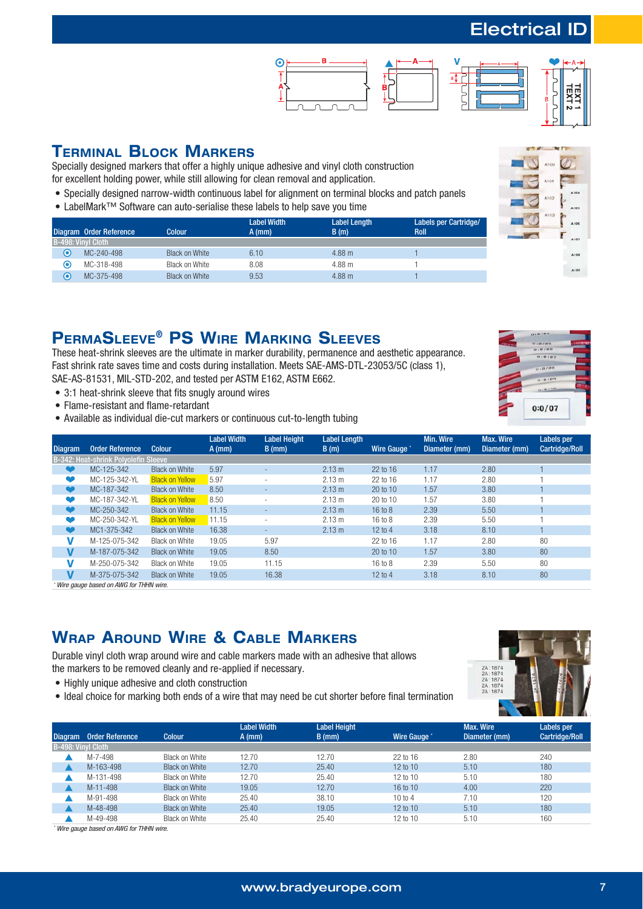# Electrical ID





 $\overline{\mathbf{B}}$ 

#### **TERMINAL BLOCK MARKERS**

Specially designed markers that offer a highly unique adhesive and vinyl cloth construction for excellent holding power, while still allowing for clean removal and application.

- Specially designed narrow-width continuous label for alignment on terminal blocks and patch panels
- LabelMark™ Software can auto-serialise these labels to help save you time

|             | Diagram Order Reference | Colour         | <b>Label Width</b><br>$A$ (mm) | <b>Label Length</b><br>B(m) | <b>Labels per Cartridge/</b><br><b>Roll</b> |
|-------------|-------------------------|----------------|--------------------------------|-----------------------------|---------------------------------------------|
|             | B-498: Vinyl Cloth      |                |                                |                             |                                             |
| $\mathbf C$ | MC-240-498              | Black on White | 6.10                           | 4.88 m                      |                                             |
| ⊙           | MC-318-498              | Black on White | 8.08                           | 4.88 m                      |                                             |
| О           | MC-375-498              | Black on White | 9.53                           | 4.88 m                      |                                             |

## **PERMASLEEVE® PS WIRE MARKING SLEEVES**

These heat-shrink sleeves are the ultimate in marker durability, permanence and aesthetic appearance. Fast shrink rate saves time and costs during installation. Meets SAE-AMS-DTL-23053/5C (class 1), SAE-AS-81531, MIL-STD-202, and tested per ASTM E162, ASTM E662.

- 3:1 heat-shrink sleeve that fits snugly around wires
- Flame-resistant and flame-retardant
- Available as individual die-cut markers or continuous cut-to-length tubing





| Diagram/  | <b>Order Reference</b>               | <b>Colour</b>          | <b>Label Width</b><br>$A$ (mm) | <b>Label Height</b><br>$B$ (mm) | <b>Label Length</b><br>B(m) | Wire Gauge | Min. Wire<br>Diameter (mm) | Max. Wire<br>Diameter (mm) | Labels per<br>Cartridge/Roll |
|-----------|--------------------------------------|------------------------|--------------------------------|---------------------------------|-----------------------------|------------|----------------------------|----------------------------|------------------------------|
|           | B-342: Heat-shrink Polvolefin Sleeve |                        |                                |                                 |                             |            |                            |                            |                              |
|           | MC-125-342                           | <b>Black on White</b>  | 5.97                           |                                 | 2.13 m                      | 22 to 16   | 1.17                       | 2.80                       |                              |
|           | MC-125-342-YL                        | <b>Black on Yellow</b> | 5.97                           |                                 | 2.13 m                      | 22 to 16   | 1.17                       | 2.80                       |                              |
| œ         | MC-187-342                           | <b>Black on White</b>  | 8.50                           | -                               | 2.13 m                      | 20 to 10   | 1.57                       | 3.80                       |                              |
| v         | MC-187-342-YL                        | <b>Black on Yellow</b> | 8.50                           |                                 | 2.13 m                      | 20 to 10   | 1.57                       | 3.80                       |                              |
| œ         | MC-250-342                           | <b>Black on White</b>  | 11.15                          |                                 | 2.13 m                      | 16 to 8    | 2.39                       | 5.50                       |                              |
| $\bullet$ | MC-250-342-YL                        | <b>Black on Yellow</b> | 11.15                          |                                 | 2.13 m                      | 16 to 8    | 2.39                       | 5.50                       |                              |
| $\bullet$ | MC1-375-342                          | <b>Black on White</b>  | 16.38                          |                                 | 2.13 m                      | 12 to 4    | 3.18                       | 8.10                       |                              |
|           | M-125-075-342                        | Black on White         | 19.05                          | 5.97                            |                             | 22 to 16   | 1.17                       | 2.80                       | 80                           |
| V         | M-187-075-342                        | Black on White         | 19.05                          | 8.50                            |                             | 20 to 10   | 1.57                       | 3.80                       | 80                           |
|           | M-250-075-342                        | Black on White         | 19.05                          | 11.15                           |                             | 16 to 8    | 2.39                       | 5.50                       | 80                           |
| V         | M-375-075-342                        | <b>Black on White</b>  | 19.05                          | 16.38                           |                             | 12 to 4    | 3.18                       | 8.10                       | 80                           |

\* Wire gauge based on AWG for THHN wire.

# **WRAP AROUND WIRE & CABLE MARKERS**

Durable vinyl cloth wrap around wire and cable markers made with an adhesive that allows the markers to be removed cleanly and re-applied if necessary.

- Highly unique adhesive and cloth construction
- Ideal choice for marking both ends of a wire that may need be cut shorter before final termination



| <b>Diagram</b> | <b>Order Reference</b> | <b>Colour</b>         | <b>Label Width</b><br>$A$ (mm) | <b>Label Height</b><br>$B$ (mm) | Wire Gauge | Max. Wire<br>Diameter (mm) | <b>Labels</b> per<br><b>Cartridge/Roll</b> |
|----------------|------------------------|-----------------------|--------------------------------|---------------------------------|------------|----------------------------|--------------------------------------------|
|                | B-498: Vinyl Cloth     |                       |                                |                                 |            |                            |                                            |
|                | M-7-498                | Black on White        | 12.70                          | 12.70                           | 22 to 16   | 2.80                       | 240                                        |
|                | M-163-498              | <b>Black on White</b> | 12.70                          | 25.40                           | 12 to 10   | 5.10                       | 180                                        |
|                | M-131-498              | Black on White        | 12.70                          | 25.40                           | 12 to 10   | 5.10                       | 180                                        |
|                | M-11-498               | <b>Black on White</b> | 19.05                          | 12.70                           | 16 to 10   | 4.00                       | 220                                        |
|                | M-91-498               | Black on White        | 25.40                          | 38.10                           | 10 to 4    | 7.10                       | 120                                        |
|                | M-48-498               | <b>Black on White</b> | 25.40                          | 19.05                           | 12 to 10   | 5.10                       | 180                                        |
|                | M-49-498               | <b>Black on White</b> | 25.40                          | 25.40                           | 12 to 10   | 5.10                       | 160                                        |

\* Wire gauge based on AWG for THHN wire.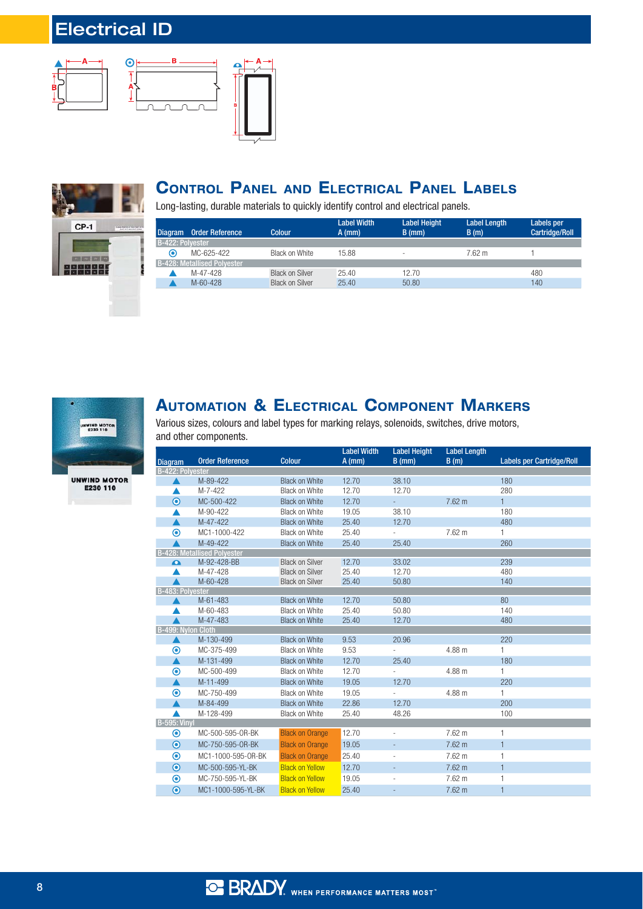# Electrical ID









## **CONTROL PANEL AND ELECTRICAL PANEL LABELS**

Long-lasting, durable materials to quickly identify control and electrical panels.

| l Diagram        | <b>Order Reference</b>             | Colour                 | <b>Label Width</b><br>$A$ (mm) | <b>Label Height</b><br>$B$ (mm) | <b>Label Length</b><br>B(m) | Labels per<br><b>Cartridge/Roll</b> |
|------------------|------------------------------------|------------------------|--------------------------------|---------------------------------|-----------------------------|-------------------------------------|
| B-422: Polvester |                                    |                        |                                |                                 |                             |                                     |
| ◉                | MC-625-422                         | Black on White         | 15.88                          | $\overline{\phantom{a}}$        | 7.62 m                      |                                     |
|                  | <b>B-428: Metallised Polvester</b> |                        |                                |                                 |                             |                                     |
|                  | M-47-428                           | <b>Black on Silver</b> | 25.40                          | 12.70                           |                             | 480                                 |
|                  | $M - 60 - 428$                     | <b>Black on Silver</b> | 25.40                          | 50.80                           |                             | 140                                 |



## **AUTOMATION & ELECTRICAL COMPONENT MARKERS**

Various sizes, colours and label types for marking relays, solenoids, switches, drive motors, and other components.

|                         |                                    |                        | <b>Label Width</b> | <b>Label Height</b>      | <b>Label Length</b> |                                  |
|-------------------------|------------------------------------|------------------------|--------------------|--------------------------|---------------------|----------------------------------|
| <b>Diagram</b>          | <b>Order Reference</b>             | <b>Colour</b>          | $A$ (mm)           | $B$ (mm)                 | B(m)                | <b>Labels per Cartridge/Roll</b> |
| <b>B-422: Polvester</b> |                                    |                        |                    |                          |                     |                                  |
|                         | M-89-422                           | <b>Black on White</b>  | 12.70              | 38.10                    |                     | 180                              |
|                         | M-7-422                            | <b>Black on White</b>  | 12.70              | 12.70                    |                     | 280                              |
| $\odot$                 | MC-500-422                         | <b>Black on White</b>  | 12.70              | ÷.                       | $7.62 \text{ m}$    | $\mathbf{1}$                     |
|                         | M-90-422                           | <b>Black on White</b>  | 19.05              | 38.10                    |                     | 180                              |
|                         | M-47-422                           | <b>Black on White</b>  | 25.40              | 12.70                    |                     | 480                              |
| $\bm{\odot}$            | MC1-1000-422                       | <b>Black on White</b>  | 25.40              | $\overline{\phantom{a}}$ | $7.62 \text{ m}$    | 1                                |
|                         | M-49-422                           | <b>Black on White</b>  | 25.40              | 25.40                    |                     | 260                              |
|                         | <b>B-428: Metallised Polyester</b> |                        |                    |                          |                     |                                  |
| Ω                       | M-92-428-BB                        | <b>Black on Silver</b> | 12.70              | 33.02                    |                     | 239                              |
|                         | M-47-428                           | <b>Black on Silver</b> | 25.40              | 12.70                    |                     | 480                              |
|                         | M-60-428                           | <b>Black on Silver</b> | 25.40              | 50.80                    |                     | 140                              |
| <b>B-483: Polvester</b> |                                    |                        |                    |                          |                     |                                  |
|                         | M-61-483                           | <b>Black on White</b>  | 12.70              | 50.80                    |                     | 80                               |
|                         | M-60-483                           | <b>Black on White</b>  | 25.40              | 50.80                    |                     | 140                              |
|                         | M-47-483                           | <b>Black on White</b>  | 25.40              | 12.70                    |                     | 480                              |
| B-499: Nylon Cloth      |                                    |                        |                    |                          |                     |                                  |
| ▲                       | M-130-499                          | <b>Black on White</b>  | 9.53               | 20.96                    |                     | 220                              |
| $\boldsymbol{\odot}$    | MC-375-499                         | <b>Black on White</b>  | 9.53               | $\mathcal{L}^{\pm}$      | 4.88 m              | 1                                |
| ▲                       | M-131-499                          | <b>Black on White</b>  | 12.70              | 25.40                    |                     | 180                              |
| $\odot$                 | MC-500-499                         | <b>Black on White</b>  | 12.70              | $\overline{\phantom{a}}$ | 4.88 m              | 1                                |
| ▲                       | M-11-499                           | <b>Black on White</b>  | 19.05              | 12.70                    |                     | 220                              |
| $\boldsymbol{\odot}$    | MC-750-499                         | <b>Black on White</b>  | 19.05              |                          | 4.88 m              | $\mathbf{1}$                     |
|                         | M-84-499                           | <b>Black on White</b>  | 22.86              | 12.70                    |                     | 200                              |
|                         | M-128-499                          | Black on White         | 25.40              | 48.26                    |                     | 100                              |
| <b>B-595: Vinv</b>      |                                    |                        |                    |                          |                     |                                  |
| $\circledcirc$          | MC-500-595-0R-BK                   | <b>Black on Orange</b> | 12.70              | $\overline{a}$           | $7.62 \text{ m}$    | 1                                |
| $\bullet$               | MC-750-595-0R-BK                   | <b>Black on Orange</b> | 19.05              |                          | 7.62 m              | $\mathbf{1}$                     |
| $\circledcirc$          | MC1-1000-595-0R-BK                 | <b>Black on Orange</b> | 25.40              |                          | 7.62 m              | 1                                |
| $\odot$                 | MC-500-595-YL-BK                   | <b>Black on Yellow</b> | 12.70              | $\overline{\phantom{a}}$ | 7.62 m              | $\mathbf{1}$                     |
| $\odot$                 | MC-750-595-YL-BK                   | <b>Black on Yellow</b> | 19.05              |                          | 7.62 m              | 1                                |
| $\odot$                 | MC1-1000-595-YL-BK                 | <b>Black on Yellow</b> | 25.40              |                          | 7.62 m              | $\mathbf{1}$                     |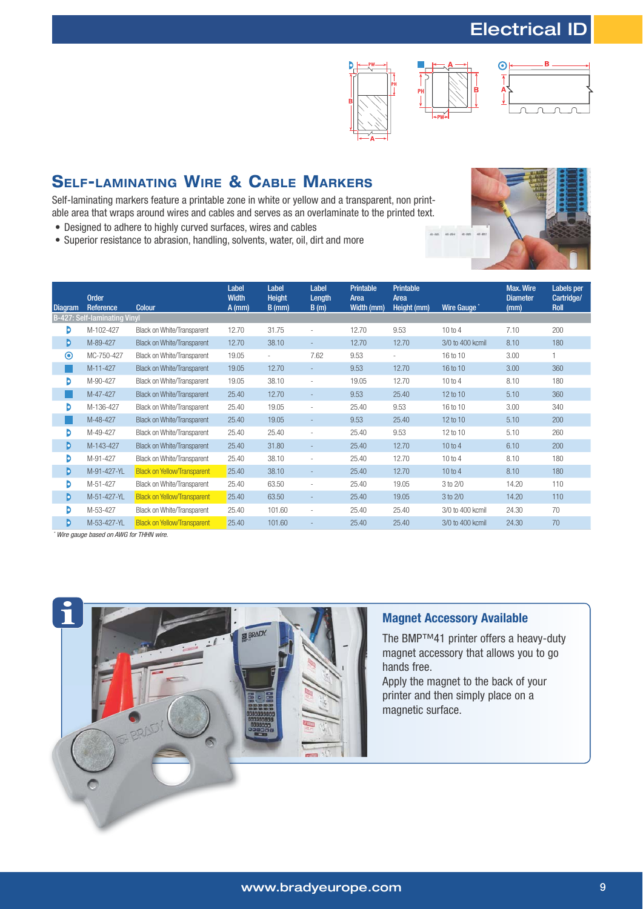# Electrical ID







# **SELF-LAMINATING WIRE & CABLE MARKERS**

Self-laminating markers feature a printable zone in white or yellow and a transparent, non printable area that wraps around wires and cables and serves as an overlaminate to the printed text.

- Designed to adhere to highly curved surfaces, wires and cables
- Superior resistance to abrasion, handling, solvents, water, oil, dirt and more



| Diagram | <b>Order</b><br>Reference           | <b>Colour</b>                      | Label<br><b>Width</b><br>$A$ (mm) | Label<br><b>Height</b><br>$B$ (mm) | Label<br>Length<br>B(m)  | Printable<br>Area<br>Width (mm) | Printable<br>Area<br>Height (mm) | Wire Gauge       | Max. Wire<br><b>Diameter</b><br>(mm) | Labels per<br>Cartridge/<br>Roll |
|---------|-------------------------------------|------------------------------------|-----------------------------------|------------------------------------|--------------------------|---------------------------------|----------------------------------|------------------|--------------------------------------|----------------------------------|
|         | <b>B-427: Self-laminating Vinyl</b> |                                    |                                   |                                    |                          |                                 |                                  |                  |                                      |                                  |
| D       | M-102-427                           | Black on White/Transparent         | 12.70                             | 31.75                              |                          | 12.70                           | 9.53                             | 10 to 4          | 7.10                                 | 200                              |
| D       | M-89-427                            | <b>Black on White/Transparent</b>  | 12.70                             | 38.10                              | ÷                        | 12.70                           | 12.70                            | 3/0 to 400 kcmil | 8.10                                 | 180                              |
| $\odot$ | MC-750-427                          | Black on White/Transparent         | 19.05                             | $\overline{\phantom{a}}$           | 7.62                     | 9.53                            |                                  | 16 to 10         | 3.00                                 |                                  |
|         | M-11-427                            | <b>Black on White/Transparent</b>  | 19.05                             | 12.70                              |                          | 9.53                            | 12.70                            | 16 to 10         | 3.00                                 | 360                              |
| Þ       | M-90-427                            | Black on White/Transparent         | 19.05                             | 38.10                              | ٠                        | 19.05                           | 12.70                            | 10 to 4          | 8.10                                 | 180                              |
|         | M-47-427                            | <b>Black on White/Transparent</b>  | 25.40                             | 12.70                              |                          | 9.53                            | 25.40                            | 12 to 10         | 5.10                                 | 360                              |
| Þ       | M-136-427                           | Black on White/Transparent         | 25.40                             | 19.05                              | ٠                        | 25.40                           | 9.53                             | 16 to 10         | 3.00                                 | 340                              |
|         | M-48-427                            | <b>Black on White/Transparent</b>  | 25.40                             | 19.05                              |                          | 9.53                            | 25.40                            | 12 to 10         | 5.10                                 | 200                              |
| D       | M-49-427                            | Black on White/Transparent         | 25.40                             | 25.40                              |                          | 25.40                           | 9.53                             | 12 to 10         | 5.10                                 | 260                              |
| D       | M-143-427                           | <b>Black on White/Transparent</b>  | 25.40                             | 31.80                              |                          | 25.40                           | 12.70                            | 10 to 4          | 6.10                                 | 200                              |
| D       | M-91-427                            | Black on White/Transparent         | 25.40                             | 38.10                              |                          | 25.40                           | 12.70                            | 10 to 4          | 8.10                                 | 180                              |
| D       | M-91-427-YL                         | <b>Black on Yellow/Transparent</b> | 25.40                             | 38.10                              |                          | 25.40                           | 12.70                            | 10 to 4          | 8.10                                 | 180                              |
| b       | M-51-427                            | Black on White/Transparent         | 25.40                             | 63.50                              | $\overline{\phantom{a}}$ | 25.40                           | 19.05                            | 3 to 2/0         | 14.20                                | 110                              |
| Þ       | M-51-427-YL                         | <b>Black on Yellow/Transparent</b> | 25.40                             | 63.50                              |                          | 25.40                           | 19.05                            | 3 to 2/0         | 14.20                                | 110                              |
| D       | M-53-427                            | Black on White/Transparent         | 25.40                             | 101.60                             | $\overline{\phantom{a}}$ | 25.40                           | 25.40                            | 3/0 to 400 kcmil | 24.30                                | 70                               |
| D       | M-53-427-YL                         | <b>Black on Yellow/Transparent</b> | 25.40                             | 101.60                             |                          | 25.40                           | 25.40                            | 3/0 to 400 kcmil | 24.30                                | 70                               |

\* Wire gauge based on AWG for THHN wire.



#### **Magnet Accessory Available**

The BMP™41 printer offers a heavy-duty magnet accessory that allows you to go hands free.

Apply the magnet to the back of your printer and then simply place on a magnetic surface.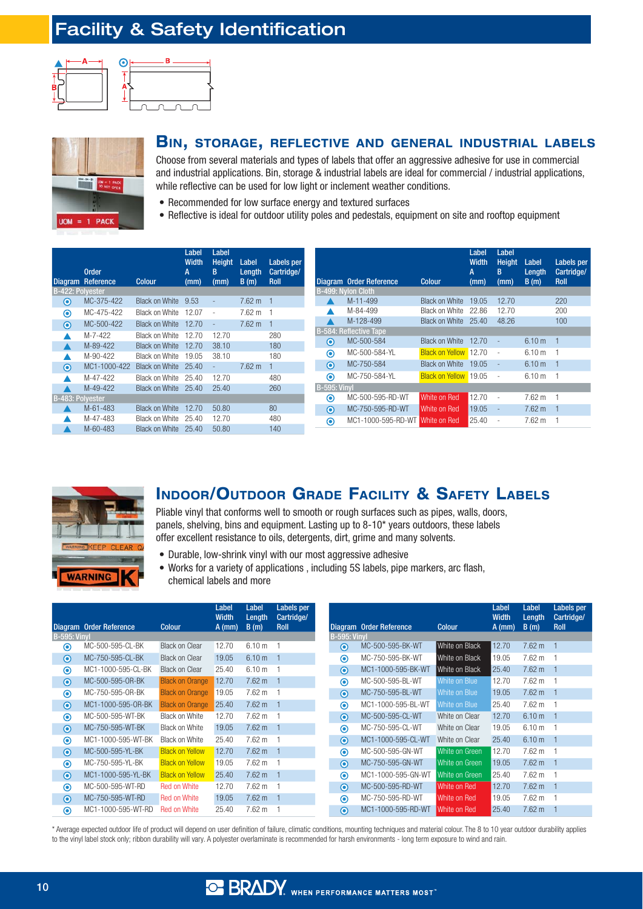# Facility & Safety Identification





#### **BIN, STORAGE, REFLECTIVE AND GENERAL INDUSTRIAL LABELS**

Choose from several materials and types of labels that offer an aggressive adhesive for use in commercial and industrial applications. Bin, storage & industrial labels are ideal for commercial / industrial applications, while reflective can be used for low light or inclement weather conditions.

- Recommended for low surface energy and textured surfaces
- Reflective is ideal for outdoor utility poles and pedestals, equipment on site and rooftop equipment

| <b>Diagram</b>          | <b>Order</b><br>Reference | <b>Colour</b>         | Label<br><b>Width</b><br>A<br>(mm) | Label<br><b>Height</b><br>B<br>(mm) | Label<br>Length<br>B(m) | <b>Labels</b> per<br>Cartridge/<br><b>Roll</b> |
|-------------------------|---------------------------|-----------------------|------------------------------------|-------------------------------------|-------------------------|------------------------------------------------|
| B-422: Polyester        |                           |                       |                                    |                                     |                         |                                                |
| $\mathbf{\Theta}$       | MC-375-422                | <b>Black on White</b> | 9.53                               |                                     | $7.62 \text{ m}$        | $\mathbf{1}$                                   |
| ◉                       | MC-475-422                | <b>Black on White</b> | 12.07                              | ÷                                   | $7.62 \text{ m}$        | 1                                              |
| $\bullet$               | MC-500-422                | <b>Black on White</b> | 12.70                              | $\overline{a}$                      | $7.62 \text{ m}$        | $\mathbf{1}$                                   |
|                         | M-7-422                   | Black on White        | 12.70                              | 12.70                               |                         | 280                                            |
|                         | M-89-422                  | <b>Black on White</b> | 12.70                              | 38.10                               |                         | 180                                            |
|                         | M-90-422                  | Black on White        | 19.05                              | 38.10                               |                         | 180                                            |
| $\mathbf{\Theta}$       | MC1-1000-422              | <b>Black on White</b> | 25.40                              |                                     | $7.62 \text{ m}$        | $\mathbf{1}$                                   |
|                         | M-47-422                  | Black on White        | 25.40                              | 12.70                               |                         | 480                                            |
|                         | M-49-422                  | <b>Black on White</b> | 25.40                              | 25.40                               |                         | 260                                            |
| <b>B-483: Polyester</b> |                           |                       |                                    |                                     |                         |                                                |
|                         | M-61-483                  | <b>Black on White</b> | 12.70                              | 50.80                               |                         | 80                                             |
|                         | M-47-483                  | <b>Black on White</b> | 25.40                              | 12.70                               |                         | 480                                            |
|                         | M-60-483                  | <b>Black on White</b> | 25.40                              | 50.80                               |                         | 140                                            |

|                     | Diagram Order Reference       | <b>Colour</b>          | Label<br><b>Width</b><br>A<br>(mm) | Label<br><b>Height</b><br>B<br>(mm) | Label<br>Length<br>B(m) | <b>Labels</b> per<br>Cartridge/<br><b>Roll</b> |
|---------------------|-------------------------------|------------------------|------------------------------------|-------------------------------------|-------------------------|------------------------------------------------|
|                     | <b>B-499: Nylon Cloth</b>     |                        |                                    |                                     |                         |                                                |
|                     | M-11-499                      | <b>Black on White</b>  | 19.05                              | 12.70                               |                         | 220                                            |
|                     | M-84-499                      | Black on White         | 22.86                              | 12.70                               |                         | 200                                            |
|                     | M-128-499                     | <b>Black on White</b>  | 25.40                              | 48.26                               |                         | 100                                            |
|                     | <b>B-584: Reflective Tape</b> |                        |                                    |                                     |                         |                                                |
| $\bf{o}$            | MC-500-584                    | <b>Black on White</b>  | 12.70                              |                                     | 6.10 m                  | 1                                              |
| ◉                   | MC-500-584-YL                 | <b>Black on Yellow</b> | 12.70                              |                                     | 6.10 m                  | 1                                              |
| $\bullet$           | MC-750-584                    | <b>Black on White</b>  | 19.05                              |                                     | 6.10 m                  | $\mathbf{1}$                                   |
| ◉                   | MC-750-584-YL                 | <b>Black on Yellow</b> | 19.05                              | $\overline{a}$                      | 6.10 m                  | 1                                              |
| <b>B-595: Vinyl</b> |                               |                        |                                    |                                     |                         |                                                |
| ◉                   | MC-500-595-RD-WT              | White on Red           | 12.70                              |                                     | $7.62 \text{ m}$        | 1                                              |
| $\odot$             | MC-750-595-RD-WT              | White on Red           | 19.05                              |                                     | $7.62 \text{ m}$        | $\mathbf{1}$                                   |
| ◉                   | MC1-1000-595-RD-WT            | White on Red           | 25.40                              |                                     | $7.62 \text{ m}$        |                                                |



#### **INDOOR/OUTDOOR GRADE FACILITY & SAFETY LABELS**

Pliable vinyl that conforms well to smooth or rough surfaces such as pipes, walls, doors, panels, shelving, bins and equipment. Lasting up to 8-10\* years outdoors, these labels offer excellent resistance to oils, detergents, dirt, grime and many solvents.

- Durable, low-shrink vinyl with our most aggressive adhesive
- Works for a variety of applications, including 5S labels, pipe markers, arc flash, chemical labels and more

|                      |                         |                        | Label<br><b>Width</b> | Label<br>Length   | Labels per<br>Cartridge/ |
|----------------------|-------------------------|------------------------|-----------------------|-------------------|--------------------------|
|                      | Diagram Order Reference | <b>Colour</b>          | $A$ (mm)              | B(m)              | <b>Roll</b>              |
| <b>B-595: Vinyl</b>  |                         |                        |                       |                   |                          |
| $\boldsymbol{\circ}$ | MC-500-595-CL-BK        | <b>Black on Clear</b>  | 12.70                 | 6.10 m            | 1                        |
| $\bullet$            | MC-750-595-CL-BK        | <b>Black on Clear</b>  | 19.05                 | 6.10 <sub>m</sub> | 1                        |
| $\boldsymbol{\circ}$ | MC1-1000-595-CL-BK      | <b>Black on Clear</b>  | 25.40                 | 6.10 <sub>m</sub> | 1                        |
| $\bullet$            | MC-500-595-0R-BK        | <b>Black on Orange</b> | 12.70                 | $7.62 \text{ m}$  | $\mathbf{1}$             |
| $\boldsymbol{\circ}$ | MC-750-595-0R-BK        | <b>Black on Orange</b> | 19.05                 | 7.62 m            | 1                        |
| $\bullet$            | MC1-1000-595-0R-BK      | <b>Black on Orange</b> | 25.40                 | $7.62 \text{ m}$  | $\mathbf{1}$             |
| $\boldsymbol{\circ}$ | MC-500-595-WT-BK        | Black on White         | 12.70                 | 7.62 m            | 1                        |
| $\odot$              | MC-750-595-WT-BK        | Black on White         | 19.05                 | 7.62 m            | $\mathbf{1}$             |
| $\boldsymbol{\circ}$ | MC1-1000-595-WT-BK      | Black on White         | 25.40                 | 7.62 m            | 1                        |
| $\bullet$            | MC-500-595-YL-BK        | <b>Black on Yellow</b> | 12.70                 | 7.62 m            | $\mathbf{1}$             |
| ◉                    | MC-750-595-YL-BK        | <b>Black on Yellow</b> | 19.05                 | 7.62 m            | 1                        |
| $\bullet$            | MC1-1000-595-YL-BK      | <b>Black on Yellow</b> | 25.40                 | 7.62 m            | $\mathbf{1}$             |
| $\boldsymbol{\odot}$ | MC-500-595-WT-RD        | <b>Red on White</b>    | 12.70                 | 7.62 m            | 1                        |
| $\boldsymbol{\circ}$ | MC-750-595-WT-RD        | Red on White           | 19.05                 | $7.62 \text{ m}$  | 1                        |
| ◉                    | MC1-1000-595-WT-RD      | <b>Red on White</b>    | 25.40                 | $7.62 \text{ m}$  | 1                        |

|                      |                         |                | Label<br><b>Width</b> | Label<br>Length   | Labels per<br>Cartridge/ |
|----------------------|-------------------------|----------------|-----------------------|-------------------|--------------------------|
|                      | Diagram Order Reference | <b>Colour</b>  | $A$ (mm)              | B(m)              | <b>Roll</b>              |
| <b>B-595: Vinyl</b>  |                         |                |                       |                   |                          |
| ◉                    | MC-500-595-BK-WT        | White on Black | 12.70                 | $7.62 \text{ m}$  | 1                        |
| ◉                    | MC-750-595-BK-WT        | White on Black | 19.05                 | 7.62 m            | 1                        |
| $\bullet$            | MC1-1000-595-BK-WT      | White on Black | 25.40                 | $7.62 \text{ m}$  | 1                        |
| ◉                    | MC-500-595-BL-WT        | White on Blue  | 12.70                 | 7.62 m            | 1                        |
| $\bullet$            | MC-750-595-BL-WT        | White on Blue  | 19.05                 | $7.62 \text{ m}$  | 1                        |
| $\boldsymbol{\circ}$ | MC1-1000-595-BL-WT      | White on Blue  | 25.40                 | 7.62 m            | 1                        |
| $\mathbf{\Theta}$    | MC-500-595-CL-WT        | White on Clear | 12.70                 | 6.10 m            | $\mathbf{1}$             |
| ◉                    | MC-750-595-CL-WT        | White on Clear | 19.05                 | 6.10 m            | 1                        |
| $\odot$              | MC1-1000-595-CL-WT      | White on Clear | 25.40                 | 6.10 <sub>m</sub> | $\mathbf{1}$             |
| ◉                    | MC-500-595-GN-WT        | White on Green | 12.70                 | $7.62 \text{ m}$  | 1                        |
| $\bullet$            | MC-750-595-GN-WT        | White on Green | 19.05                 | 7.62 m            | 1                        |
| ◉                    | MC1-1000-595-GN-WT      | White on Green | 25.40                 | 7.62 m            | 1                        |
| $\bf{O}$             | MC-500-595-RD-WT        | White on Red   | 12.70                 | $7.62 \text{ m}$  | 1                        |
| ◉                    | MC-750-595-RD-WT        | White on Red   | 19.05                 | $7.62 \text{ m}$  | 1                        |
| $\mathbf{\Theta}$    | MC1-1000-595-RD-WT      | White on Red   | 25.40                 | $7.62 \text{ m}$  | 1                        |

\* Average expected outdoor life of product will depend on user definition of failure, climatic conditions, mounting techniques and material colour. The 8 to 10 year outdoor durability applies to the vinyl label stock only; ribbon durability will vary. A polyester overlaminate is recommended for harsh environments - long term exposure to wind and rain.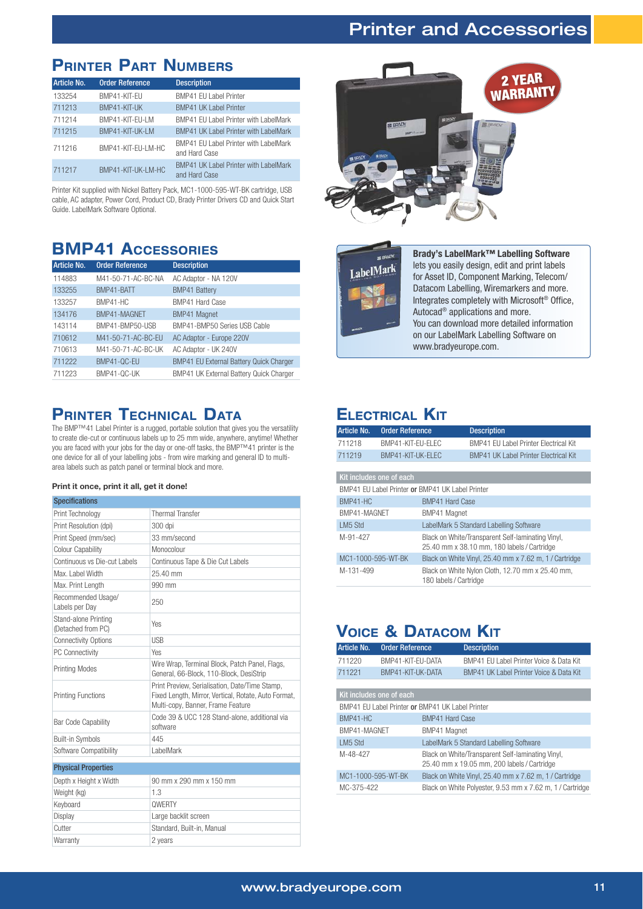#### Printer and Accessories

## **PRINTER PART NUMBERS**

| Article No. | <b>Order Reference</b> | <b>Description</b>                                     |
|-------------|------------------------|--------------------------------------------------------|
| 133254      | BMP41-KIT-EU           | <b>BMP41 EU Label Printer</b>                          |
| 711213      | BMP41-KIT-UK           | <b>BMP41 UK Label Printer</b>                          |
| 711214      | BMP41-KIT-EU-LM        | BMP41 EU Label Printer with LabelMark                  |
| 711215      | BMP41-KIT-UK-LM        | <b>BMP41 UK Label Printer with LabelMark</b>           |
| 711216      | BMP41-KIT-EU-LM-HC     | BMP41 EU Label Printer with LabelMark<br>and Hard Case |
| 711217      | BMP41-KIT-UK-LM-HC     | BMP41 UK Label Printer with LabelMark<br>and Hard Case |

Printer Kit supplied with Nickel Battery Pack, MC1-1000-595-WT-BK cartridge, USB cable, AC adapter, Power Cord, Product CD, Brady Printer Drivers CD and Quick Start Guide. LabelMark Software Optional.

## **BMP41 ACCESSORIES**

| Article No. | <b>Order Reference</b> | <b>Description</b>                             |
|-------------|------------------------|------------------------------------------------|
| 114883      | M41-50-71-AC-BC-NA     | AC Adaptor - NA 120V                           |
| 133255      | BMP41-BATT             | <b>BMP41 Battery</b>                           |
| 133257      | BMP41-HC               | BMP41 Hard Case                                |
| 134176      | BMP41-MAGNET           | <b>BMP41 Magnet</b>                            |
| 143114      | BMP41-BMP50-USB        | BMP41-BMP50 Series USB Cable                   |
| 710612      | M41-50-71-AC-BC-EU     | AC Adaptor - Europe 220V                       |
| 710613      | M41-50-71-AC-BC-UK     | AC Adaptor - UK 240V                           |
| 711222      | BMP41-QC-EU            | <b>BMP41 EU External Battery Quick Charger</b> |
| 711223      | BMP41-QC-UK            | BMP41 UK External Battery Quick Charger        |

#### **PRINTER TECHNICAL DATA**

The BMP™41 Label Printer is a rugged, portable solution that gives you the versatility to create die-cut or continuous labels up to 25 mm wide, anywhere, anytime! Whether you are faced with your jobs for the day or one-off tasks, the BMP™41 printer is the one device for all of your labelling jobs - from wire marking and general ID to multiarea labels such as patch panel or terminal block and more.

#### Print it once, print it all, get it done!

| <b>Specifications</b>                      |                                                                                                                                             |
|--------------------------------------------|---------------------------------------------------------------------------------------------------------------------------------------------|
| Print Technology                           | <b>Thermal Transfer</b>                                                                                                                     |
| Print Resolution (dpi)                     | 300 dpi                                                                                                                                     |
| Print Speed (mm/sec)                       | 33 mm/second                                                                                                                                |
| <b>Colour Capability</b>                   | Monocolour                                                                                                                                  |
| Continuous vs Die-cut Labels               | Continuous Tape & Die Cut Labels                                                                                                            |
| Max. Label Width                           | 25.40 mm                                                                                                                                    |
| Max. Print Length                          | 990 mm                                                                                                                                      |
| Recommended Usage/<br>Labels per Day       | 250                                                                                                                                         |
| Stand-alone Printing<br>(Detached from PC) | Yes                                                                                                                                         |
| <b>Connectivity Options</b>                | <b>USB</b>                                                                                                                                  |
| PC Connectivity                            | Yes                                                                                                                                         |
| <b>Printing Modes</b>                      | Wire Wrap, Terminal Block, Patch Panel, Flags,<br>General, 66-Block, 110-Block, DesiStrip                                                   |
| <b>Printing Functions</b>                  | Print Preview, Serialisation, Date/Time Stamp,<br>Fixed Length, Mirror, Vertical, Rotate, Auto Format,<br>Multi-copy, Banner, Frame Feature |
| Bar Code Capability                        | Code 39 & UCC 128 Stand-alone, additional via<br>software                                                                                   |
| Built-in Symbols                           | 445                                                                                                                                         |
| Software Compatibility                     | LabelMark                                                                                                                                   |
| <b>Physical Properties</b>                 |                                                                                                                                             |
| Depth x Height x Width                     | 90 mm x 290 mm x 150 mm                                                                                                                     |
| Weight (kg)                                | 1.3                                                                                                                                         |
| Keyboard                                   | <b>OWERTY</b>                                                                                                                               |
| Display                                    | Large backlit screen                                                                                                                        |
| Cutter                                     | Standard, Built-in, Manual                                                                                                                  |
| Warranty                                   | 2 years                                                                                                                                     |



| ST BRADY.            |  |
|----------------------|--|
| LabelMark            |  |
|                      |  |
| <b>See Files See</b> |  |
|                      |  |
| ÷                    |  |
|                      |  |

**Brady's LabelMark™ Labelling Software**

lets you easily design, edit and print labels for Asset ID, Component Marking, Telecom/ Datacom Labelling, Wiremarkers and more. Integrates completely with Microsoft® Office, Autocad® applications and more. You can download more detailed information on our LabelMark Labelling Software on www.bradyeurope.com.

#### **ELECTRICAL KIT**

| Article No.        | <b>Order Reference</b>   |                                                  | <b>Description</b>                                                                               |
|--------------------|--------------------------|--------------------------------------------------|--------------------------------------------------------------------------------------------------|
| 711218             | BMP41-KIT-FU-FLFC        |                                                  | BMP41 EU Label Printer Electrical Kit                                                            |
| 711219             | BMP41-KIT-UK-ELEC        |                                                  | <b>BMP41 UK Label Printer Electrical Kit</b>                                                     |
|                    |                          |                                                  |                                                                                                  |
|                    | Kit includes one of each |                                                  |                                                                                                  |
|                    |                          | BMP41 FU Label Printer or BMP41 UK Label Printer |                                                                                                  |
| BMP41-HC           |                          | <b>BMP41 Hard Case</b>                           |                                                                                                  |
| BMP41-MAGNET       |                          | BMP41 Magnet                                     |                                                                                                  |
| LM5 Std            |                          |                                                  | LabelMark 5 Standard Labelling Software                                                          |
| M-91-427           |                          |                                                  | Black on White/Transparent Self-laminating Vinyl,<br>25.40 mm x 38.10 mm, 180 labels / Cartridge |
| MC1-1000-595-WT-BK |                          |                                                  | Black on White Vinyl, 25.40 mm x 7.62 m, 1 / Cartridge                                           |
| M-131-499          |                          | 180 labels / Cartridge                           | Black on White Nylon Cloth, 12.70 mm x 25.40 mm,                                                 |

#### **VOICE & DATACOM KIT**

| Article No.        | <b>Order Reference</b>                           |                        | <b>Description</b>                                                                               |
|--------------------|--------------------------------------------------|------------------------|--------------------------------------------------------------------------------------------------|
| 711220             | BMP41-KIT-EU-DATA                                |                        | BMP41 EU Label Printer Voice & Data Kit                                                          |
| 711221             | BMP41-KIT-UK-DATA                                |                        | BMP41 UK Label Printer Voice & Data Kit                                                          |
|                    |                                                  |                        |                                                                                                  |
|                    | Kit includes one of each                         |                        |                                                                                                  |
|                    | BMP41 EU Label Printer or BMP41 UK Label Printer |                        |                                                                                                  |
| BMP41-HC           |                                                  | <b>BMP41 Hard Case</b> |                                                                                                  |
| BMP41-MAGNET       |                                                  | BMP41 Magnet           |                                                                                                  |
| LM5 Std            |                                                  |                        | LabelMark 5 Standard Labelling Software                                                          |
| M-48-427           |                                                  |                        | Black on White/Transparent Self-laminating Vinyl,<br>25.40 mm x 19.05 mm. 200 labels / Cartridge |
| MC1-1000-595-WT-BK |                                                  |                        | Black on White Vinyl, 25.40 mm x 7.62 m, 1 / Cartridge                                           |
| MC-375-422         |                                                  |                        | Black on White Polyester, 9.53 mm x 7.62 m, 1 / Cartridge                                        |